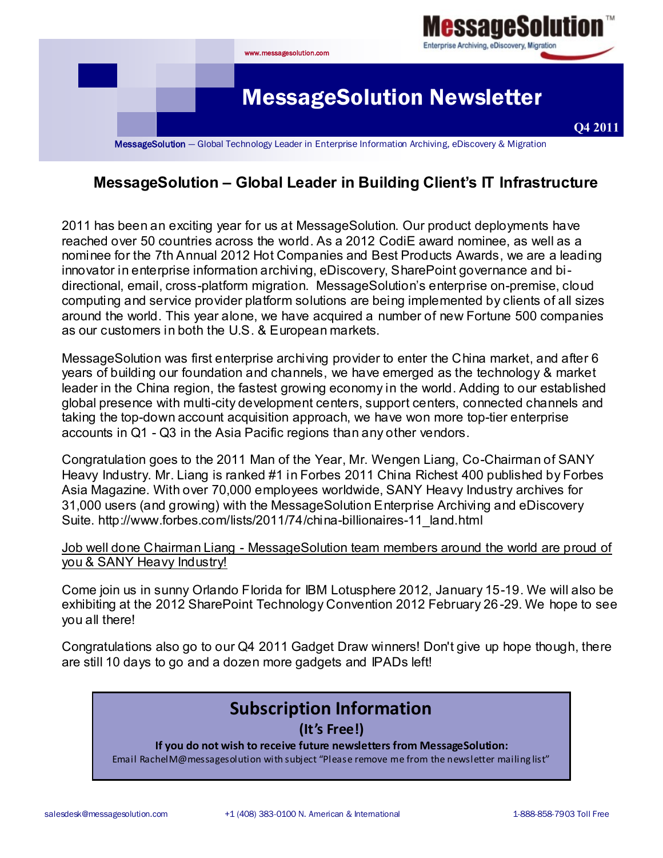

## **MessageSolution – Global Leader in Building Client's IT Infrastructure**

2011 has been an exciting year for us at MessageSolution. Our product deployments have reached over 50 countries across the world. As a 2012 CodiE award nominee, as well as a nominee for the 7th Annual 2012 Hot Companies and Best Products Awards, we are a leading innovator in enterprise information archiving, eDiscovery, SharePoint governance and bidirectional, email, cross-platform migration. MessageSolution's enterprise on-premise, cloud computing and service provider platform solutions are being implemented by clients of all sizes around the world. This year alone, we have acquired a number of new Fortune 500 companies as our customers in both the U.S. & European markets.

MessageSolution was first enterprise archiving provider to enter the China market, and after 6 years of building our foundation and channels, we have emerged as the technology & market leader in the China region, the fastest growing economy in the world. Adding to our established global presence with multi-city development centers, support centers, connected channels and taking the top-down account acquisition approach, we have won more top-tier enterprise accounts in Q1 - Q3 in the Asia Pacific regions than any other vendors.

Congratulation goes to the 2011 Man of the Year, Mr. Wengen Liang, Co-Chairman of SANY Heavy Industry. Mr. Liang is ranked #1 in Forbes 2011 China Richest 400 published by Forbes Asia Magazine. With over 70,000 employees worldwide, SANY Heavy Industry archives for 31,000 users (and growing) with the MessageSolution Enterprise Archiving and eDiscovery Suite. http://www.forbes.com/lists/2011/74/china-billionaires-11\_land.html

#### Job well done Chairman Liang - MessageSolution team members around the world are proud of you & SANY Heavy Industry!

Come join us in sunny Orlando Florida for IBM Lotusphere 2012, January 15-19. We will also be exhibiting at the 2012 SharePoint Technology Convention 2012 February 26 -29. We hope to see you all there!

Congratulations also go to our Q4 2011 Gadget Draw winners! Don't give up hope though, there are still 10 days to go and a dozen more gadgets and IPADs left!

## **Subscription Information**

#### **(It's Free!)**

**If you do not wish to receive future newsletters from MessageSolution:**

Email RachelM@messagesolution with subject "Please remove me from the newsletter mailing list"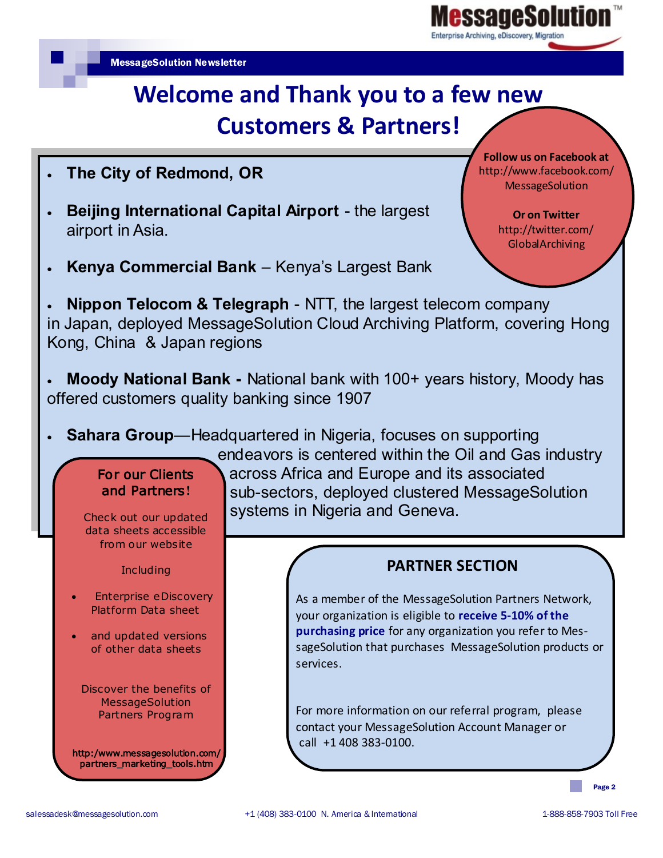# **Welcome and Thank you to a few new Customers & Partners!**

- **The City of Redmond, OR**
- **Beijing International Capital Airport**  the largest airport in Asia.
- **Kenya Commercial Bank**  Kenya's Largest Bank

 **Nippon Telocom & Telegraph** - NTT, the largest telecom company in Japan, deployed MessageSolution Cloud Archiving Platform, covering Hong Kong, China & Japan regions

- **Moody National Bank -** National bank with 100+ years history, Moody has offered customers quality banking since 1907
- **Sahara Group**—Headquartered in Nigeria, focuses on supporting

## For our Clients and Partners**!**

Check out our updated data sheets accessible from our website

**Including** 

- Enterprise eDiscovery Platform Data sheet
- and updated versions of other data sheets

Discover the benefits of MessageSolution Partners Program

http:/www.messagesolution.com/ partners\_marketing\_tools.htm

endeavors is centered within the Oil and Gas industry across Africa and Europe and its associated sub-sectors, deployed clustered MessageSolution systems in Nigeria and Geneva.

## **PARTNER SECTION**

As a member of the MessageSolution Partners Network, your organization is eligible to **receive 5-10% of the purchasing price** for any organization you refer to MessageSolution that purchases MessageSolution products or services.

For more information on our referral program, please contact your MessageSolution Account Manager or call +1 408 383-0100.

Page 2

**Follow us on Facebook at** http://www.facebook.com/ MessageSolution

adesoli

**Or on Twitter**  http://twitter.com/ GlobalArchiving